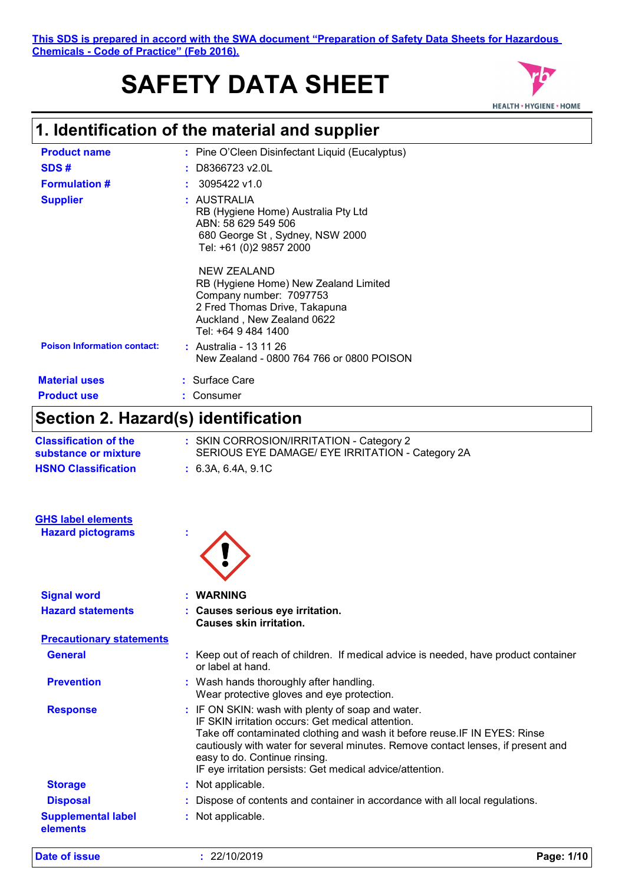### **This SDS is prepared in accord with the SWA document "Preparation of Safety Data Sheets for Hazardous Chemicals - Code of Practice" (Feb 2016).**

# **SAFETY DATA SHEET**



# **1. Identification of the material and supplier**

| <b>Product name</b>                | : Pine O'Cleen Disinfectant Liquid (Eucalyptus)                                                                                                                       |
|------------------------------------|-----------------------------------------------------------------------------------------------------------------------------------------------------------------------|
| SDS#                               | D8366723 v2.0L                                                                                                                                                        |
| <b>Formulation #</b>               | 3095422 v1.0                                                                                                                                                          |
| <b>Supplier</b>                    | : AUSTRALIA<br>RB (Hygiene Home) Australia Pty Ltd<br>ABN: 58 629 549 506<br>680 George St, Sydney, NSW 2000<br>Tel: +61 (0)2 9857 2000                               |
|                                    | NEW ZEALAND<br>RB (Hygiene Home) New Zealand Limited<br>Company number: 7097753<br>2 Fred Thomas Drive, Takapuna<br>Auckland, New Zealand 0622<br>Tel: +64 9 484 1400 |
| <b>Poison Information contact:</b> | : Australia - 13 11 26<br>New Zealand - 0800 764 766 or 0800 POISON                                                                                                   |
| <b>Material uses</b>               | : Surface Care                                                                                                                                                        |
| <b>Product use</b>                 | Consumer                                                                                                                                                              |
|                                    |                                                                                                                                                                       |

# **Section 2. Hazard(s) identification**

| <b>Classification of the</b><br>substance or mixture | : SKIN CORROSION/IRRITATION - Category 2<br>SERIOUS EYE DAMAGE/ EYE IRRITATION - Category 2A                                                                                                                                                                                                                                                                           |
|------------------------------------------------------|------------------------------------------------------------------------------------------------------------------------------------------------------------------------------------------------------------------------------------------------------------------------------------------------------------------------------------------------------------------------|
| <b>HSNO Classification</b>                           | : 6.3A, 6.4A, 9.1C                                                                                                                                                                                                                                                                                                                                                     |
| <b>GHS label elements</b>                            |                                                                                                                                                                                                                                                                                                                                                                        |
| <b>Hazard pictograms</b>                             |                                                                                                                                                                                                                                                                                                                                                                        |
| <b>Signal word</b>                                   | <b>WARNING</b>                                                                                                                                                                                                                                                                                                                                                         |
| <b>Hazard statements</b>                             | : Causes serious eye irritation.<br><b>Causes skin irritation.</b>                                                                                                                                                                                                                                                                                                     |
| <b>Precautionary statements</b>                      |                                                                                                                                                                                                                                                                                                                                                                        |
| <b>General</b>                                       | : Keep out of reach of children. If medical advice is needed, have product container<br>or label at hand.                                                                                                                                                                                                                                                              |
| <b>Prevention</b>                                    | : Wash hands thoroughly after handling.<br>Wear protective gloves and eye protection.                                                                                                                                                                                                                                                                                  |
| <b>Response</b>                                      | : IF ON SKIN: wash with plenty of soap and water.<br>IF SKIN irritation occurs: Get medical attention.<br>Take off contaminated clothing and wash it before reuse. IF IN EYES: Rinse<br>cautiously with water for several minutes. Remove contact lenses, if present and<br>easy to do. Continue rinsing.<br>IF eye irritation persists: Get medical advice/attention. |
| <b>Storage</b>                                       | : Not applicable.                                                                                                                                                                                                                                                                                                                                                      |
| <b>Disposal</b>                                      | Dispose of contents and container in accordance with all local regulations.                                                                                                                                                                                                                                                                                            |
| <b>Supplemental label</b><br>elements                | : Not applicable.                                                                                                                                                                                                                                                                                                                                                      |

**Date of issue :** 22/10/2019 **Page: 1/10**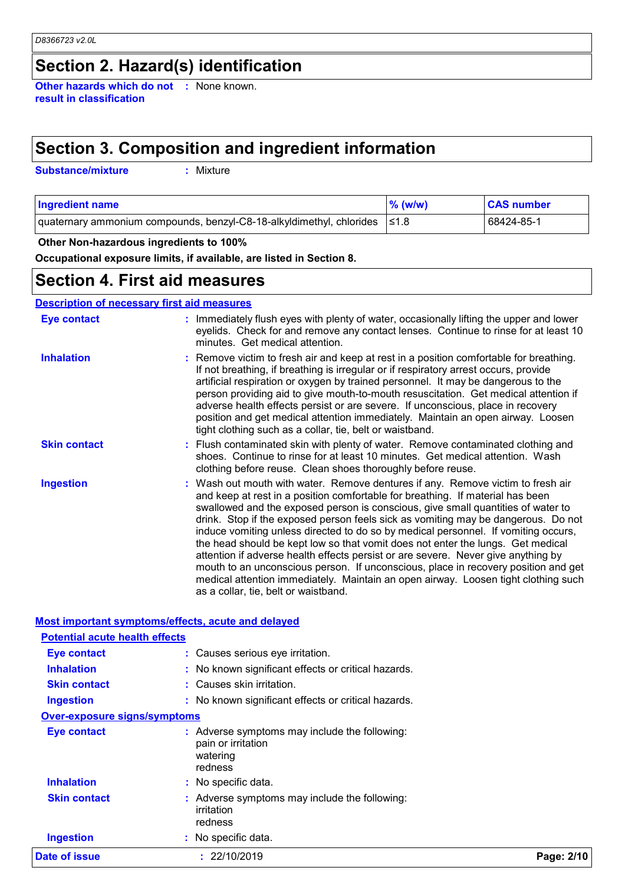# **Section 2. Hazard(s) identification**

**Other hazards which do not :** None known. **result in classification**

# **Section 3. Composition and ingredient information**

**Substance/mixture :**

: Mixture

| <b>Ingredient name</b>                                                          | $\%$ (w/w) | <b>CAS number</b> |
|---------------------------------------------------------------------------------|------------|-------------------|
| quaternary ammonium compounds, benzyl-C8-18-alkyldimethyl, chlorides $\leq 1.8$ |            | 68424-85-1        |

### **Other Non-hazardous ingredients to 100%**

**Occupational exposure limits, if available, are listed in Section 8.**

### **Section 4. First aid measures**

### **Description of necessary first aid measures**

| Eye contact         | : Immediately flush eyes with plenty of water, occasionally lifting the upper and lower<br>eyelids. Check for and remove any contact lenses. Continue to rinse for at least 10<br>minutes. Get medical attention.                                                                                                                                                                                                                                                                                                                                                                                                                                                                                                                                                                                                            |
|---------------------|------------------------------------------------------------------------------------------------------------------------------------------------------------------------------------------------------------------------------------------------------------------------------------------------------------------------------------------------------------------------------------------------------------------------------------------------------------------------------------------------------------------------------------------------------------------------------------------------------------------------------------------------------------------------------------------------------------------------------------------------------------------------------------------------------------------------------|
| <b>Inhalation</b>   | : Remove victim to fresh air and keep at rest in a position comfortable for breathing.<br>If not breathing, if breathing is irregular or if respiratory arrest occurs, provide<br>artificial respiration or oxygen by trained personnel. It may be dangerous to the<br>person providing aid to give mouth-to-mouth resuscitation. Get medical attention if<br>adverse health effects persist or are severe. If unconscious, place in recovery<br>position and get medical attention immediately. Maintain an open airway. Loosen<br>tight clothing such as a collar, tie, belt or waistband.                                                                                                                                                                                                                                 |
| <b>Skin contact</b> | : Flush contaminated skin with plenty of water. Remove contaminated clothing and<br>shoes. Continue to rinse for at least 10 minutes. Get medical attention. Wash<br>clothing before reuse. Clean shoes thoroughly before reuse.                                                                                                                                                                                                                                                                                                                                                                                                                                                                                                                                                                                             |
| <b>Ingestion</b>    | : Wash out mouth with water. Remove dentures if any. Remove victim to fresh air<br>and keep at rest in a position comfortable for breathing. If material has been<br>swallowed and the exposed person is conscious, give small quantities of water to<br>drink. Stop if the exposed person feels sick as vomiting may be dangerous. Do not<br>induce vomiting unless directed to do so by medical personnel. If vomiting occurs,<br>the head should be kept low so that vomit does not enter the lungs. Get medical<br>attention if adverse health effects persist or are severe. Never give anything by<br>mouth to an unconscious person. If unconscious, place in recovery position and get<br>medical attention immediately. Maintain an open airway. Loosen tight clothing such<br>as a collar, tie, belt or waistband. |

### **Most important symptoms/effects, acute and delayed**

| Date of issue                         | : 22/10/2019                                                                               | Page: 2/10 |
|---------------------------------------|--------------------------------------------------------------------------------------------|------------|
| <b>Ingestion</b>                      | : No specific data.                                                                        |            |
| <b>Skin contact</b>                   | Adverse symptoms may include the following:<br>irritation<br>redness                       |            |
| <b>Inhalation</b>                     | : No specific data.                                                                        |            |
| <b>Eye contact</b>                    | : Adverse symptoms may include the following:<br>pain or irritation<br>watering<br>redness |            |
| <b>Over-exposure signs/symptoms</b>   |                                                                                            |            |
| <b>Ingestion</b>                      | : No known significant effects or critical hazards.                                        |            |
| <b>Skin contact</b>                   | : Causes skin irritation.                                                                  |            |
| <b>Inhalation</b>                     | : No known significant effects or critical hazards.                                        |            |
| Eye contact                           | : Causes serious eye irritation.                                                           |            |
| <b>Potential acute health effects</b> |                                                                                            |            |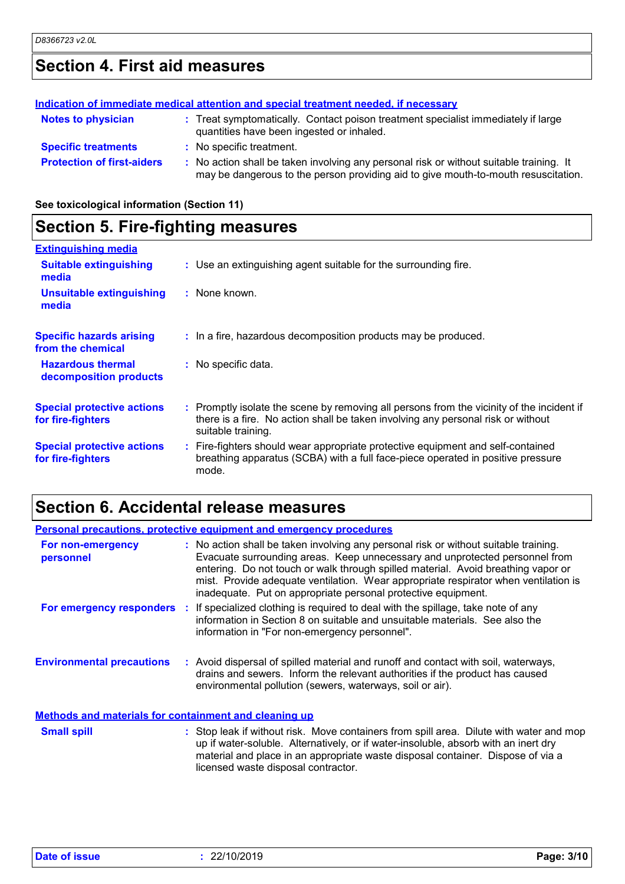# **Section 4. First aid measures**

| Indication of immediate medical attention and special treatment needed, if necessary |                                                                                                                                                                               |  |  |
|--------------------------------------------------------------------------------------|-------------------------------------------------------------------------------------------------------------------------------------------------------------------------------|--|--|
| <b>Notes to physician</b>                                                            | : Treat symptomatically. Contact poison treatment specialist immediately if large<br>quantities have been ingested or inhaled.                                                |  |  |
| <b>Specific treatments</b>                                                           | : No specific treatment.                                                                                                                                                      |  |  |
| <b>Protection of first-aiders</b>                                                    | : No action shall be taken involving any personal risk or without suitable training. It<br>may be dangerous to the person providing aid to give mouth-to-mouth resuscitation. |  |  |

**See toxicological information (Section 11)**

# **Section 5. Fire-fighting measures**

| <b>Extinguishing media</b>                             |                                                                                                                                                                                                     |
|--------------------------------------------------------|-----------------------------------------------------------------------------------------------------------------------------------------------------------------------------------------------------|
| <b>Suitable extinguishing</b><br>media                 | : Use an extinguishing agent suitable for the surrounding fire.                                                                                                                                     |
| <b>Unsuitable extinguishing</b><br>media               | $:$ None known.                                                                                                                                                                                     |
| <b>Specific hazards arising</b><br>from the chemical   | : In a fire, hazardous decomposition products may be produced.                                                                                                                                      |
| <b>Hazardous thermal</b><br>decomposition products     | : No specific data.                                                                                                                                                                                 |
| <b>Special protective actions</b><br>for fire-fighters | : Promptly isolate the scene by removing all persons from the vicinity of the incident if<br>there is a fire. No action shall be taken involving any personal risk or without<br>suitable training. |
| <b>Special protective actions</b><br>for fire-fighters | : Fire-fighters should wear appropriate protective equipment and self-contained<br>breathing apparatus (SCBA) with a full face-piece operated in positive pressure<br>mode.                         |

# **Section 6. Accidental release measures**

| <b>Personal precautions, protective equipment and emergency procedures</b> |  |                                                                                                                                                                                                                                                                                                                                                                                                                  |
|----------------------------------------------------------------------------|--|------------------------------------------------------------------------------------------------------------------------------------------------------------------------------------------------------------------------------------------------------------------------------------------------------------------------------------------------------------------------------------------------------------------|
| For non-emergency<br>personnel                                             |  | : No action shall be taken involving any personal risk or without suitable training.<br>Evacuate surrounding areas. Keep unnecessary and unprotected personnel from<br>entering. Do not touch or walk through spilled material. Avoid breathing vapor or<br>mist. Provide adequate ventilation. Wear appropriate respirator when ventilation is<br>inadequate. Put on appropriate personal protective equipment. |
|                                                                            |  | For emergency responders : If specialized clothing is required to deal with the spillage, take note of any<br>information in Section 8 on suitable and unsuitable materials. See also the<br>information in "For non-emergency personnel".                                                                                                                                                                       |
| <b>Environmental precautions</b>                                           |  | : Avoid dispersal of spilled material and runoff and contact with soil, waterways,<br>drains and sewers. Inform the relevant authorities if the product has caused<br>environmental pollution (sewers, waterways, soil or air).                                                                                                                                                                                  |
| <b>Methods and materials for containment and cleaning up</b>               |  |                                                                                                                                                                                                                                                                                                                                                                                                                  |
| <b>Small spill</b>                                                         |  | : Stop leak if without risk. Move containers from spill area. Dilute with water and mop<br>up if water-soluble. Alternatively, or if water-insoluble, absorb with an inert dry<br>material and place in an appropriate waste disposal container. Dispose of via a<br>licensed waste disposal contractor.                                                                                                         |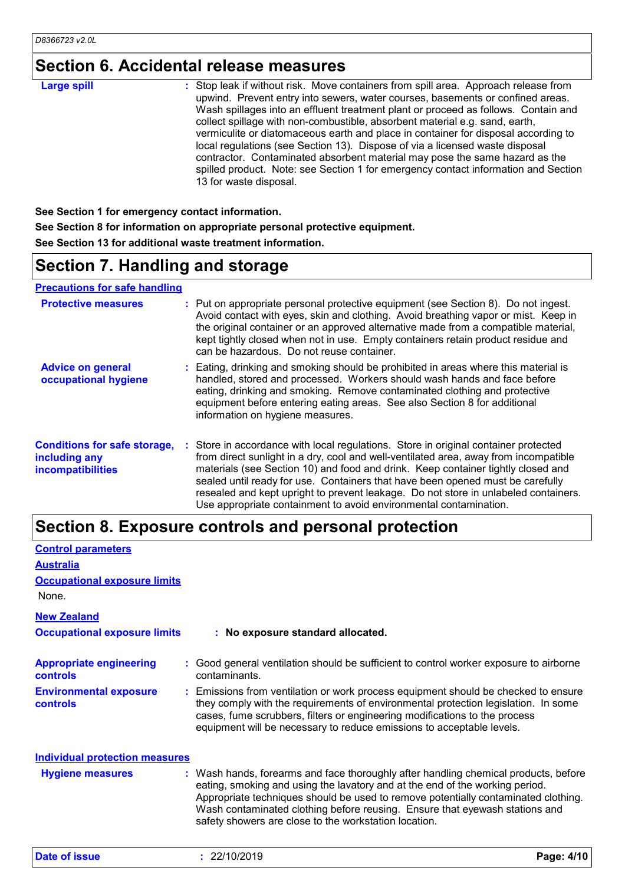# **Section 6. Accidental release measures**

| <b>Large spill</b> | : Stop leak if without risk. Move containers from spill area. Approach release from<br>upwind. Prevent entry into sewers, water courses, basements or confined areas.<br>Wash spillages into an effluent treatment plant or proceed as follows. Contain and<br>collect spillage with non-combustible, absorbent material e.g. sand, earth,<br>vermiculite or diatomaceous earth and place in container for disposal according to |
|--------------------|----------------------------------------------------------------------------------------------------------------------------------------------------------------------------------------------------------------------------------------------------------------------------------------------------------------------------------------------------------------------------------------------------------------------------------|
|                    | local regulations (see Section 13). Dispose of via a licensed waste disposal<br>contractor. Contaminated absorbent material may pose the same hazard as the<br>spilled product. Note: see Section 1 for emergency contact information and Section<br>13 for waste disposal.                                                                                                                                                      |

**See Section 1 for emergency contact information. See Section 8 for information on appropriate personal protective equipment. See Section 13 for additional waste treatment information.**

# **Section 7. Handling and storage**

**Precautions for safe handling**

| <b>Protective measures</b>                                                       | : Put on appropriate personal protective equipment (see Section 8). Do not ingest.<br>Avoid contact with eyes, skin and clothing. Avoid breathing vapor or mist. Keep in<br>the original container or an approved alternative made from a compatible material,<br>kept tightly closed when not in use. Empty containers retain product residue and<br>can be hazardous. Do not reuse container.                                                                                                               |  |
|----------------------------------------------------------------------------------|---------------------------------------------------------------------------------------------------------------------------------------------------------------------------------------------------------------------------------------------------------------------------------------------------------------------------------------------------------------------------------------------------------------------------------------------------------------------------------------------------------------|--|
| <b>Advice on general</b><br>occupational hygiene                                 | : Eating, drinking and smoking should be prohibited in areas where this material is<br>handled, stored and processed. Workers should wash hands and face before<br>eating, drinking and smoking. Remove contaminated clothing and protective<br>equipment before entering eating areas. See also Section 8 for additional<br>information on hygiene measures.                                                                                                                                                 |  |
| <b>Conditions for safe storage,</b><br>including any<br><b>incompatibilities</b> | : Store in accordance with local regulations. Store in original container protected<br>from direct sunlight in a dry, cool and well-ventilated area, away from incompatible<br>materials (see Section 10) and food and drink. Keep container tightly closed and<br>sealed until ready for use. Containers that have been opened must be carefully<br>resealed and kept upright to prevent leakage. Do not store in unlabeled containers.<br>Use appropriate containment to avoid environmental contamination. |  |

### **Section 8. Exposure controls and personal protection**

| <b>Control parameters</b>                         |                                                                                                                                                                                                                                                                                                                                                                                                   |
|---------------------------------------------------|---------------------------------------------------------------------------------------------------------------------------------------------------------------------------------------------------------------------------------------------------------------------------------------------------------------------------------------------------------------------------------------------------|
| <b>Australia</b>                                  |                                                                                                                                                                                                                                                                                                                                                                                                   |
| <b>Occupational exposure limits</b>               |                                                                                                                                                                                                                                                                                                                                                                                                   |
| None.                                             |                                                                                                                                                                                                                                                                                                                                                                                                   |
| <b>New Zealand</b>                                |                                                                                                                                                                                                                                                                                                                                                                                                   |
| <b>Occupational exposure limits</b>               | : No exposure standard allocated.                                                                                                                                                                                                                                                                                                                                                                 |
| <b>Appropriate engineering</b><br><b>controls</b> | : Good general ventilation should be sufficient to control worker exposure to airborne<br>contaminants.                                                                                                                                                                                                                                                                                           |
| <b>Environmental exposure</b><br><b>controls</b>  | : Emissions from ventilation or work process equipment should be checked to ensure<br>they comply with the requirements of environmental protection legislation. In some<br>cases, fume scrubbers, filters or engineering modifications to the process<br>equipment will be necessary to reduce emissions to acceptable levels.                                                                   |
| <b>Individual protection measures</b>             |                                                                                                                                                                                                                                                                                                                                                                                                   |
| <b>Hygiene measures</b>                           | : Wash hands, forearms and face thoroughly after handling chemical products, before<br>eating, smoking and using the lavatory and at the end of the working period.<br>Appropriate techniques should be used to remove potentially contaminated clothing.<br>Wash contaminated clothing before reusing. Ensure that eyewash stations and<br>safety showers are close to the workstation location. |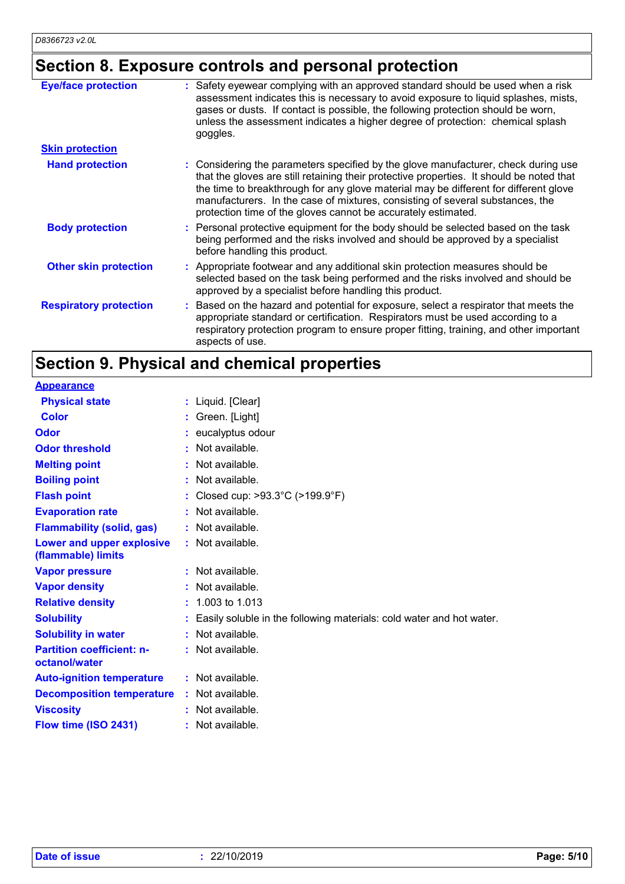# **Section 8. Exposure controls and personal protection**

| <b>Eye/face protection</b>    | : Safety eyewear complying with an approved standard should be used when a risk<br>assessment indicates this is necessary to avoid exposure to liquid splashes, mists,                                                                                                                                                                                                                                                   |
|-------------------------------|--------------------------------------------------------------------------------------------------------------------------------------------------------------------------------------------------------------------------------------------------------------------------------------------------------------------------------------------------------------------------------------------------------------------------|
|                               | gases or dusts. If contact is possible, the following protection should be worn,<br>unless the assessment indicates a higher degree of protection: chemical splash<br>goggles.                                                                                                                                                                                                                                           |
| <b>Skin protection</b>        |                                                                                                                                                                                                                                                                                                                                                                                                                          |
| <b>Hand protection</b>        | : Considering the parameters specified by the glove manufacturer, check during use<br>that the gloves are still retaining their protective properties. It should be noted that<br>the time to breakthrough for any glove material may be different for different glove<br>manufacturers. In the case of mixtures, consisting of several substances, the<br>protection time of the gloves cannot be accurately estimated. |
| <b>Body protection</b>        | : Personal protective equipment for the body should be selected based on the task<br>being performed and the risks involved and should be approved by a specialist<br>before handling this product.                                                                                                                                                                                                                      |
| <b>Other skin protection</b>  | : Appropriate footwear and any additional skin protection measures should be<br>selected based on the task being performed and the risks involved and should be<br>approved by a specialist before handling this product.                                                                                                                                                                                                |
| <b>Respiratory protection</b> | : Based on the hazard and potential for exposure, select a respirator that meets the<br>appropriate standard or certification. Respirators must be used according to a<br>respiratory protection program to ensure proper fitting, training, and other important<br>aspects of use.                                                                                                                                      |

# **Section 9. Physical and chemical properties**

| <b>Appearance</b>                                 |    |                                                                      |
|---------------------------------------------------|----|----------------------------------------------------------------------|
| <b>Physical state</b>                             |    | : Liquid. [Clear]                                                    |
| <b>Color</b>                                      |    | : Green. [Light]                                                     |
| Odor                                              |    | eucalyptus odour                                                     |
| <b>Odor threshold</b>                             | ٠  | Not available.                                                       |
| <b>Melting point</b>                              | ÷  | Not available.                                                       |
| <b>Boiling point</b>                              |    | Not available.                                                       |
| <b>Flash point</b>                                |    | Closed cup: >93.3°C (>199.9°F)                                       |
| <b>Evaporation rate</b>                           | t. | Not available.                                                       |
| <b>Flammability (solid, gas)</b>                  |    | Not available.                                                       |
| Lower and upper explosive<br>(flammable) limits   |    | : Not available.                                                     |
| <b>Vapor pressure</b>                             |    | : Not available.                                                     |
| <b>Vapor density</b>                              |    | Not available.                                                       |
| <b>Relative density</b>                           |    | 1.003 to 1.013                                                       |
| <b>Solubility</b>                                 |    | Easily soluble in the following materials: cold water and hot water. |
| <b>Solubility in water</b>                        | ÷. | Not available.                                                       |
| <b>Partition coefficient: n-</b><br>octanol/water |    | $:$ Not available.                                                   |
| <b>Auto-ignition temperature</b>                  |    | $:$ Not available.                                                   |
| <b>Decomposition temperature</b>                  |    | : Not available.                                                     |
| <b>Viscosity</b>                                  |    | Not available.                                                       |
| Flow time (ISO 2431)                              | ÷  | Not available.                                                       |
|                                                   |    |                                                                      |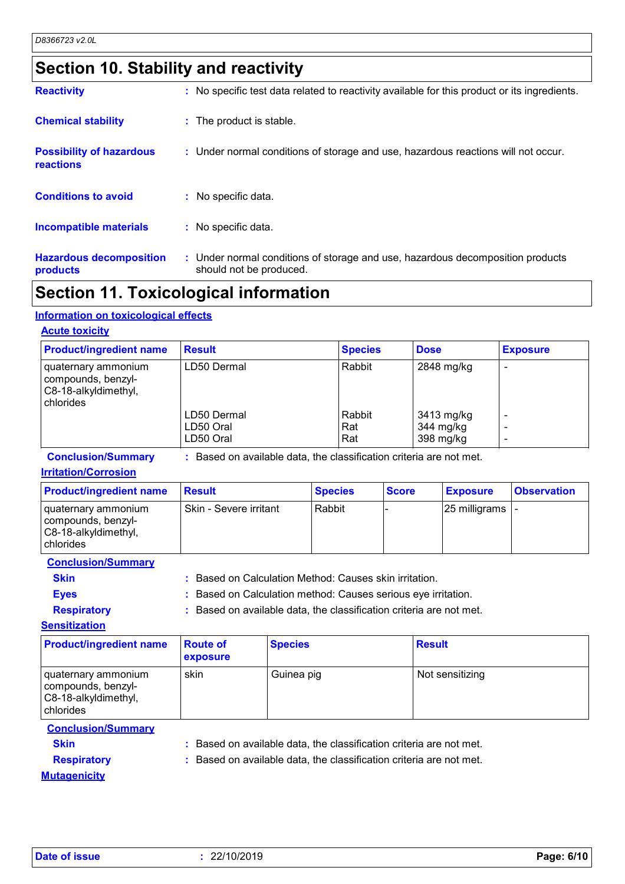## **Section 10. Stability and reactivity**

| <b>Hazardous decomposition</b><br>products   | : Under normal conditions of storage and use, hazardous decomposition products<br>should not be produced. |
|----------------------------------------------|-----------------------------------------------------------------------------------------------------------|
| <b>Incompatible materials</b>                | : No specific data.                                                                                       |
| <b>Conditions to avoid</b>                   | $:$ No specific data.                                                                                     |
| <b>Possibility of hazardous</b><br>reactions | : Under normal conditions of storage and use, hazardous reactions will not occur.                         |
| <b>Chemical stability</b>                    | : The product is stable.                                                                                  |
| <b>Reactivity</b>                            | : No specific test data related to reactivity available for this product or its ingredients.              |

### **Section 11. Toxicological information**

### **Information on toxicological effects**

### **Acute toxicity**

| <b>Product/ingredient name</b>                                                   | <b>Result</b> | <b>Species</b> | <b>Dose</b> | <b>Exposure</b> |
|----------------------------------------------------------------------------------|---------------|----------------|-------------|-----------------|
| I quaternary ammonium<br>compounds, benzyl-<br>C8-18-alkyldimethyl,<br>chlorides | LD50 Dermal   | Rabbit         | 2848 mg/kg  |                 |
|                                                                                  | LD50 Dermal   | Rabbit         | 3413 mg/kg  |                 |
|                                                                                  | LD50 Oral     | Rat            | 344 mg/kg   |                 |
|                                                                                  | LD50 Oral     | Rat            | 398 mg/kg   |                 |

**Conclusion/Summary :** Based on available data, the classification criteria are not met.

### **Irritation/Corrosion**

| <b>Product/ingredient name</b>                                                            | <b>Result</b>          | <b>Species</b> | <b>Score</b> | <b>Exposure</b>           | <b>Observation</b> |
|-------------------------------------------------------------------------------------------|------------------------|----------------|--------------|---------------------------|--------------------|
| I quaternary ammonium<br>  compounds, benzyl-<br>C8-18-alkyldimethyl,<br><b>chlorides</b> | Skin - Severe irritant | Rabbit         |              | $ 25 \text{ milligrams} $ |                    |

**Conclusion/Summary**

**Skin :** Based on Calculation Method: Causes skin irritation.

**Eyes :** Based on Calculation method: Causes serious eye irritation.

**Respiratory :** Based on available data, the classification criteria are not met.

**Sensitization**

| <b>Product/ingredient name</b>                                                 | <b>Route of</b><br><b>exposure</b> | <b>Species</b> | <b>Result</b>   |
|--------------------------------------------------------------------------------|------------------------------------|----------------|-----------------|
| quaternary ammonium<br>compounds, benzyl-<br>C8-18-alkyldimethyl,<br>chlorides | skin                               | Guinea pig     | Not sensitizing |

### **Conclusion/Summary**

**Skin :** Based on available data, the classification criteria are not met.

**Mutagenicity**

**Respiratory :** Based on available data, the classification criteria are not met.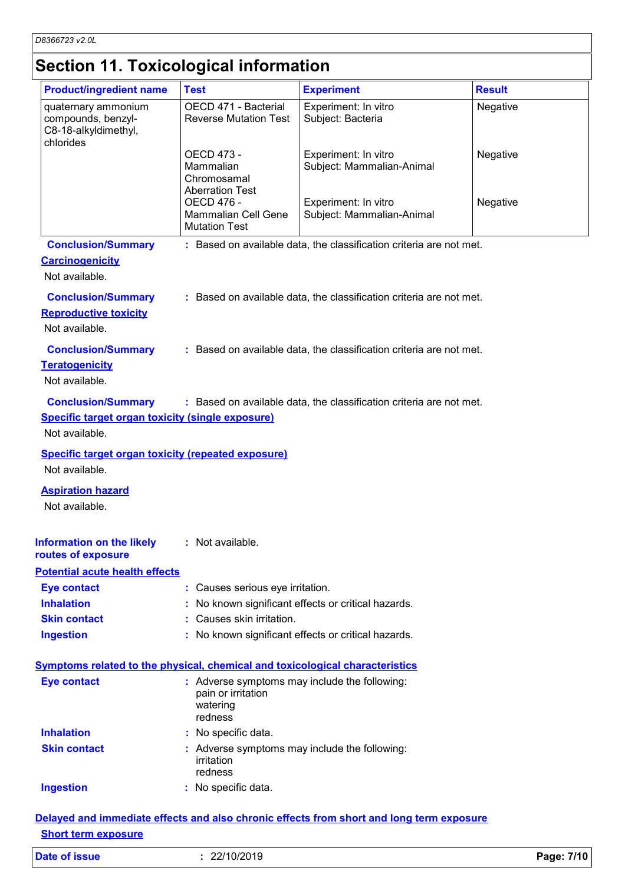# **Section 11. Toxicological information**

| Experiment: In vitro<br>Subject: Bacteria<br>Experiment: In vitro<br>Subject: Mammalian-Animal<br>Experiment: In vitro<br>Subject: Mammalian-Animal<br>: Based on available data, the classification criteria are not met.<br>: Based on available data, the classification criteria are not met. | Negative<br>Negative<br>Negative              |
|---------------------------------------------------------------------------------------------------------------------------------------------------------------------------------------------------------------------------------------------------------------------------------------------------|-----------------------------------------------|
|                                                                                                                                                                                                                                                                                                   |                                               |
|                                                                                                                                                                                                                                                                                                   |                                               |
|                                                                                                                                                                                                                                                                                                   |                                               |
|                                                                                                                                                                                                                                                                                                   |                                               |
|                                                                                                                                                                                                                                                                                                   |                                               |
|                                                                                                                                                                                                                                                                                                   |                                               |
|                                                                                                                                                                                                                                                                                                   |                                               |
|                                                                                                                                                                                                                                                                                                   |                                               |
| : Based on available data, the classification criteria are not met.                                                                                                                                                                                                                               |                                               |
|                                                                                                                                                                                                                                                                                                   |                                               |
|                                                                                                                                                                                                                                                                                                   |                                               |
| : Based on available data, the classification criteria are not met.                                                                                                                                                                                                                               |                                               |
|                                                                                                                                                                                                                                                                                                   |                                               |
|                                                                                                                                                                                                                                                                                                   |                                               |
|                                                                                                                                                                                                                                                                                                   |                                               |
|                                                                                                                                                                                                                                                                                                   |                                               |
|                                                                                                                                                                                                                                                                                                   |                                               |
|                                                                                                                                                                                                                                                                                                   |                                               |
|                                                                                                                                                                                                                                                                                                   |                                               |
| : No known significant effects or critical hazards.                                                                                                                                                                                                                                               |                                               |
|                                                                                                                                                                                                                                                                                                   |                                               |
| : No known significant effects or critical hazards.                                                                                                                                                                                                                                               |                                               |
| Symptoms related to the physical, chemical and toxicological characteristics                                                                                                                                                                                                                      |                                               |
| : Adverse symptoms may include the following:                                                                                                                                                                                                                                                     |                                               |
|                                                                                                                                                                                                                                                                                                   |                                               |
|                                                                                                                                                                                                                                                                                                   |                                               |
|                                                                                                                                                                                                                                                                                                   |                                               |
|                                                                                                                                                                                                                                                                                                   | : Adverse symptoms may include the following: |

### **Short term exposure**

| <b>Date of issue</b> | 22/10/2019 | Page: 7/10 |
|----------------------|------------|------------|
|----------------------|------------|------------|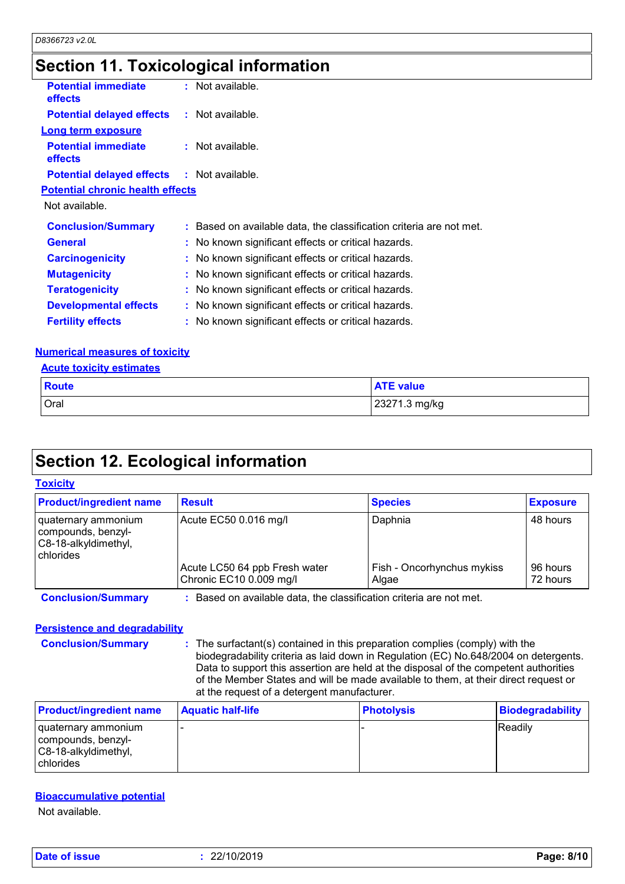## **Section 11. Toxicological information**

| <b>Potential immediate</b><br>effects             | $:$ Not available.                                                  |
|---------------------------------------------------|---------------------------------------------------------------------|
| <b>Potential delayed effects : Not available.</b> |                                                                     |
| <b>Long term exposure</b>                         |                                                                     |
| <b>Potential immediate</b><br><b>effects</b>      | : Not available.                                                    |
| <b>Potential delayed effects : Not available.</b> |                                                                     |
| <b>Potential chronic health effects</b>           |                                                                     |
| Not available.                                    |                                                                     |
| <b>Conclusion/Summary</b>                         | : Based on available data, the classification criteria are not met. |
| <b>General</b>                                    | : No known significant effects or critical hazards.                 |
| <b>Carcinogenicity</b>                            | : No known significant effects or critical hazards.                 |
| <b>Mutagenicity</b>                               | : No known significant effects or critical hazards.                 |
| <b>Teratogenicity</b>                             | : No known significant effects or critical hazards.                 |
| <b>Developmental effects</b>                      | : No known significant effects or critical hazards.                 |
| <b>Fertility effects</b>                          | : No known significant effects or critical hazards.                 |
|                                                   |                                                                     |

### **Numerical measures of toxicity**

|--|

| Route | <b>ATE value</b> |
|-------|------------------|
| Oral  | 23271.3 mg/kg    |

# **Section 12. Ecological information**

### **Toxicity**

| <b>Product/ingredient name</b>                                                 | <b>Result</b>                                                     | <b>Species</b>                      | <b>Exposure</b>      |
|--------------------------------------------------------------------------------|-------------------------------------------------------------------|-------------------------------------|----------------------|
| quaternary ammonium<br>compounds, benzyl-<br>C8-18-alkyldimethyl,<br>chlorides | Acute EC50 0.016 mg/l                                             | Daphnia                             | 48 hours             |
|                                                                                | Acute LC50 64 ppb Fresh water<br>Chronic EC10 0.009 mg/l          | Fish - Oncorhynchus mykiss<br>Algae | 96 hours<br>72 hours |
| <b>Conclusion/Summary</b>                                                      | Based on available data, the classification criteria are not met. |                                     |                      |

### **Persistence and degradability**

**Conclusion/Summary :** The surfactant(s) contained in this preparation complies (comply) with the biodegradability criteria as laid down in Regulation (EC) No.648/2004 on detergents. Data to support this assertion are held at the disposal of the competent authorities of the Member States and will be made available to them, at their direct request or at the request of a detergent manufacturer.

| <b>Product/ingredient name</b>                                                 | <b>Aquatic half-life</b> | Photolysis | Biodegradability |
|--------------------------------------------------------------------------------|--------------------------|------------|------------------|
| quaternary ammonium<br>compounds, benzyl-<br>C8-18-alkyldimethyl,<br>chlorides |                          |            | <b>Readily</b>   |

### **Bioaccumulative potential**

Not available.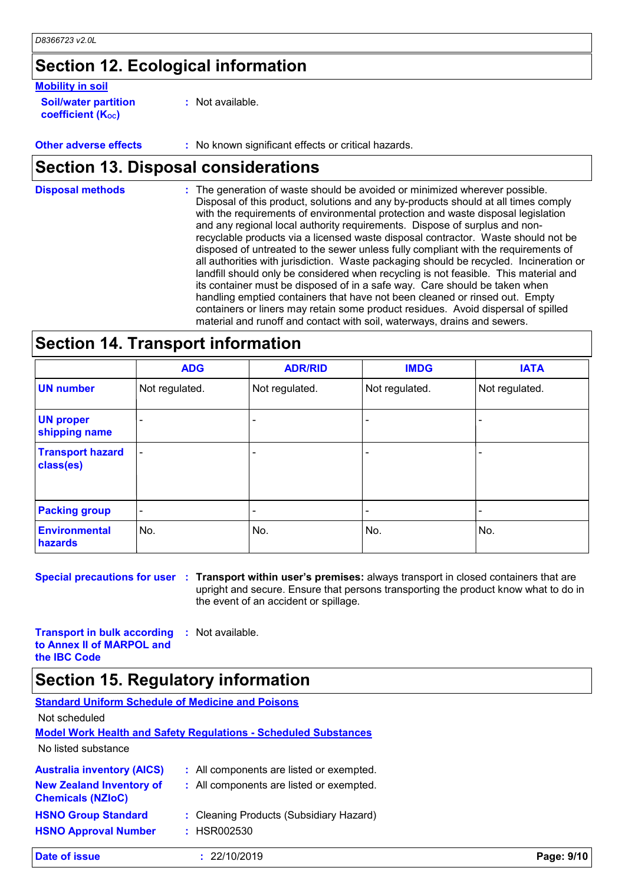# **Section 12. Ecological information**

### **Mobility in soil**

**Soil/water partition coefficient (K**<sub>oc</sub>)

**:** Not available.

**Other adverse effects :** No known significant effects or critical hazards.

### **Section 13. Disposal considerations**

The generation of waste should be avoided or minimized wherever possible. Disposal of this product, solutions and any by-products should at all times comply with the requirements of environmental protection and waste disposal legislation and any regional local authority requirements. Dispose of surplus and nonrecyclable products via a licensed waste disposal contractor. Waste should not be disposed of untreated to the sewer unless fully compliant with the requirements of all authorities with jurisdiction. Waste packaging should be recycled. Incineration or landfill should only be considered when recycling is not feasible. This material and its container must be disposed of in a safe way. Care should be taken when handling emptied containers that have not been cleaned or rinsed out. Empty containers or liners may retain some product residues. Avoid dispersal of spilled material and runoff and contact with soil, waterways, drains and sewers. **Disposal methods :**

### **Section 14. Transport information**

|                                      | <b>ADG</b>               | <b>ADR/RID</b> | <b>IMDG</b>              | <b>IATA</b>    |
|--------------------------------------|--------------------------|----------------|--------------------------|----------------|
| <b>UN number</b>                     | Not regulated.           | Not regulated. | Not regulated.           | Not regulated. |
| <b>UN proper</b><br>shipping name    | $\overline{\phantom{a}}$ |                |                          |                |
| <b>Transport hazard</b><br>class(es) | $\overline{\phantom{a}}$ |                | $\overline{\phantom{0}}$ |                |
| <b>Packing group</b>                 | $\overline{\phantom{a}}$ | ٠              |                          |                |
| <b>Environmental</b><br>hazards      | No.                      | No.            | No.                      | No.            |

**Special precautions for user Transport within user's premises:** always transport in closed containers that are **:** upright and secure. Ensure that persons transporting the product know what to do in the event of an accident or spillage.

**Transport in bulk according to Annex II of MARPOL and the IBC Code :** Not available.

### **Section 15. Regulatory information**

| <b>Standard Uniform Schedule of Medicine and Poisons</b>    |                                                                        |            |
|-------------------------------------------------------------|------------------------------------------------------------------------|------------|
| Not scheduled                                               |                                                                        |            |
|                                                             | <b>Model Work Health and Safety Requiations - Scheduled Substances</b> |            |
| No listed substance                                         |                                                                        |            |
| <b>Australia inventory (AICS)</b>                           | : All components are listed or exempted.                               |            |
| <b>New Zealand Inventory of</b><br><b>Chemicals (NZIoC)</b> | : All components are listed or exempted.                               |            |
| <b>HSNO Group Standard</b>                                  | : Cleaning Products (Subsidiary Hazard)                                |            |
| <b>HSNO Approval Number</b>                                 | : HSR002530                                                            |            |
| Date of issue                                               | 22/10/2019                                                             | Page: 9/10 |